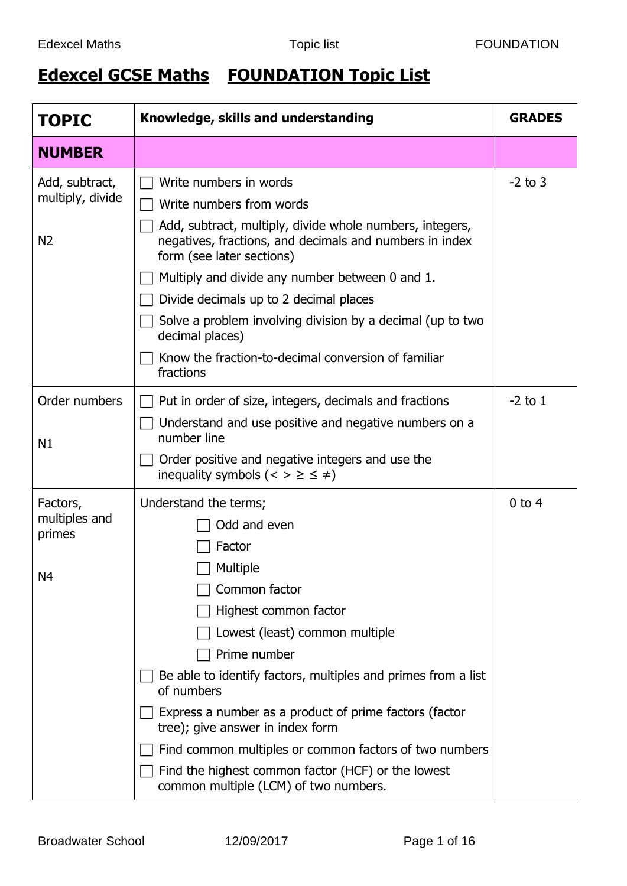## **Edexcel GCSE Maths FOUNDATION Topic List**

| <b>TOPIC</b>                                          | Knowledge, skills and understanding                                                                                                                                                                                                                                                                                                                                                                                                                                                           | <b>GRADES</b> |
|-------------------------------------------------------|-----------------------------------------------------------------------------------------------------------------------------------------------------------------------------------------------------------------------------------------------------------------------------------------------------------------------------------------------------------------------------------------------------------------------------------------------------------------------------------------------|---------------|
| <b>NUMBER</b>                                         |                                                                                                                                                                                                                                                                                                                                                                                                                                                                                               |               |
| Add, subtract,<br>multiply, divide<br>N <sub>2</sub>  | Write numbers in words<br>Write numbers from words<br>Add, subtract, multiply, divide whole numbers, integers,<br>negatives, fractions, and decimals and numbers in index<br>form (see later sections)<br>Multiply and divide any number between 0 and 1.<br>Divide decimals up to 2 decimal places<br>Solve a problem involving division by a decimal (up to two<br>decimal places)<br>Know the fraction-to-decimal conversion of familiar<br>fractions                                      | $-2$ to 3     |
| Order numbers<br>N1                                   | Put in order of size, integers, decimals and fractions<br>Understand and use positive and negative numbers on a<br>number line<br>Order positive and negative integers and use the<br>inequality symbols ( $\lt$ > $\geq \leq \neq$ )                                                                                                                                                                                                                                                         | $-2$ to 1     |
| Factors,<br>multiples and<br>primes<br>N <sub>4</sub> | Understand the terms;<br>Odd and even<br>Factor<br>Multiple<br>Common factor<br>Highest common factor<br>Lowest (least) common multiple<br>Prime number<br>Be able to identify factors, multiples and primes from a list<br>of numbers<br>Express a number as a product of prime factors (factor<br>tree); give answer in index form<br>Find common multiples or common factors of two numbers<br>Find the highest common factor (HCF) or the lowest<br>common multiple (LCM) of two numbers. | $0$ to $4$    |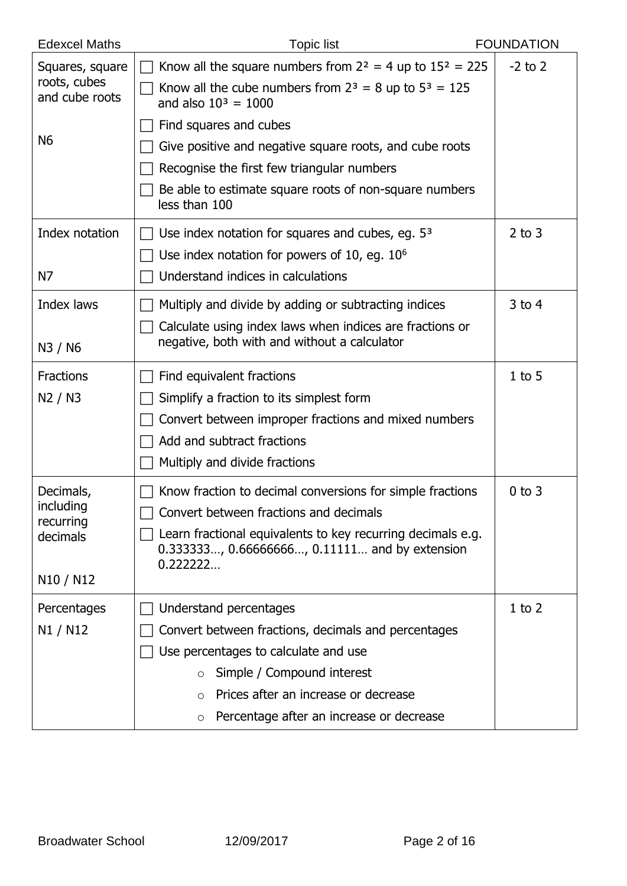| <b>Edexcel Maths</b>                                                                 | <b>Topic list</b>                                                                                                                                                                                                                                                         | <b>FOUNDATION</b> |
|--------------------------------------------------------------------------------------|---------------------------------------------------------------------------------------------------------------------------------------------------------------------------------------------------------------------------------------------------------------------------|-------------------|
| Squares, square<br>roots, cubes<br>and cube roots                                    | Know all the square numbers from $2^2 = 4$ up to $15^2 = 225$<br>Know all the cube numbers from $2^3 = 8$ up to $5^3 = 125$<br>and also $10^3 = 1000$                                                                                                                     | $-2$ to 2         |
| N <sub>6</sub>                                                                       | Find squares and cubes<br>Give positive and negative square roots, and cube roots<br>Recognise the first few triangular numbers<br>Be able to estimate square roots of non-square numbers<br>less than 100                                                                |                   |
| Index notation<br>N7                                                                 | Use index notation for squares and cubes, eg. $53$<br>Use index notation for powers of 10, eq. $106$<br>Understand indices in calculations                                                                                                                                | $2$ to $3$        |
| Index laws<br>N3 / N6                                                                | Multiply and divide by adding or subtracting indices<br>Calculate using index laws when indices are fractions or<br>negative, both with and without a calculator                                                                                                          | $3$ to 4          |
| <b>Fractions</b><br>N2 / N3                                                          | Find equivalent fractions<br>Simplify a fraction to its simplest form<br>Convert between improper fractions and mixed numbers<br>Add and subtract fractions<br>Multiply and divide fractions                                                                              | $1$ to 5          |
| Decimals,<br>including<br>recurring<br>decimals<br>N <sub>10</sub> / N <sub>12</sub> | Know fraction to decimal conversions for simple fractions<br>Convert between fractions and decimals<br>Learn fractional equivalents to key recurring decimals e.g.<br>0.333333, 0.66666666, 0.11111 and by extension<br>0.222222                                          | $0$ to $3$        |
| Percentages<br>N1 / N12                                                              | Understand percentages<br>Convert between fractions, decimals and percentages<br>Use percentages to calculate and use<br>Simple / Compound interest<br>$\circ$<br>Prices after an increase or decrease<br>$\Omega$<br>Percentage after an increase or decrease<br>$\circ$ | $1$ to $2$        |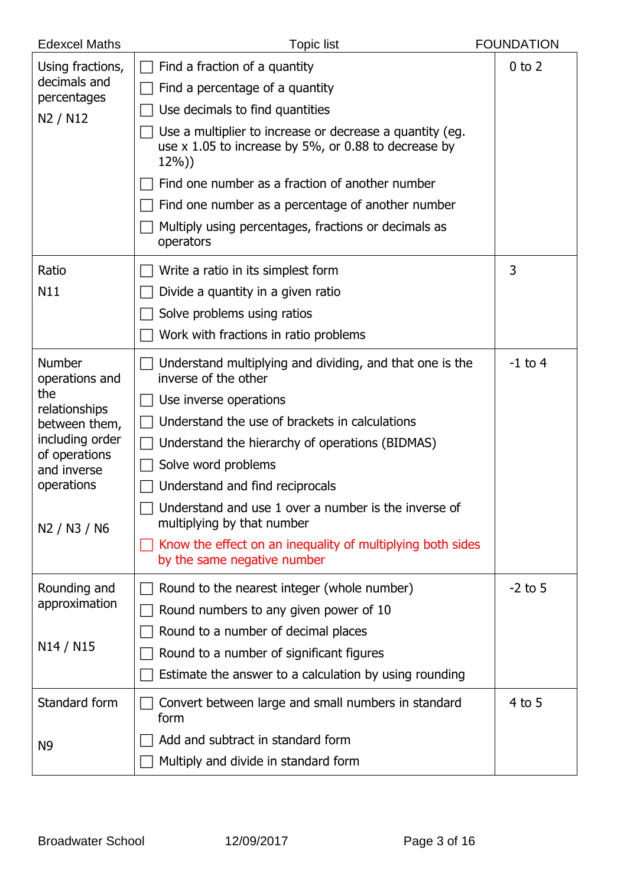| <b>Edexcel Maths</b>                                                                                                                               | <b>Topic list</b>                                                                                                                                                                                                                                                                                                                                                                                                                                                   | <b>FOUNDATION</b> |
|----------------------------------------------------------------------------------------------------------------------------------------------------|---------------------------------------------------------------------------------------------------------------------------------------------------------------------------------------------------------------------------------------------------------------------------------------------------------------------------------------------------------------------------------------------------------------------------------------------------------------------|-------------------|
| Using fractions,<br>decimals and<br>percentages<br>N2 / N12                                                                                        | Find a fraction of a quantity<br>Find a percentage of a quantity<br>Use decimals to find quantities<br>Use a multiplier to increase or decrease a quantity (eg.<br>use $\times$ 1.05 to increase by 5%, or 0.88 to decrease by<br>$12\%)$<br>Find one number as a fraction of another number<br>Find one number as a percentage of another number<br>Multiply using percentages, fractions or decimals as<br>operators                                              | $0$ to $2$        |
| Ratio<br>N11                                                                                                                                       | Write a ratio in its simplest form<br>Divide a quantity in a given ratio<br>Solve problems using ratios<br>Work with fractions in ratio problems                                                                                                                                                                                                                                                                                                                    | 3                 |
| Number<br>operations and<br>the<br>relationships<br>between them,<br>including order<br>of operations<br>and inverse<br>operations<br>N2 / N3 / N6 | Understand multiplying and dividing, and that one is the<br>inverse of the other<br>Use inverse operations<br>Understand the use of brackets in calculations<br>Understand the hierarchy of operations (BIDMAS)<br>Solve word problems<br>Understand and find reciprocals<br>$\Box$ Understand and use 1 over a number is the inverse of<br>multiplying by that number<br>Know the effect on an inequality of multiplying both sides<br>by the same negative number | $-1$ to 4         |
| Rounding and<br>approximation<br>N <sub>14</sub> / N <sub>15</sub>                                                                                 | Round to the nearest integer (whole number)<br>Round numbers to any given power of 10<br>Round to a number of decimal places<br>Round to a number of significant figures<br>Estimate the answer to a calculation by using rounding                                                                                                                                                                                                                                  | $-2$ to 5         |
| Standard form<br>N <sub>9</sub>                                                                                                                    | Convert between large and small numbers in standard<br>form<br>Add and subtract in standard form<br>Multiply and divide in standard form                                                                                                                                                                                                                                                                                                                            | $4$ to 5          |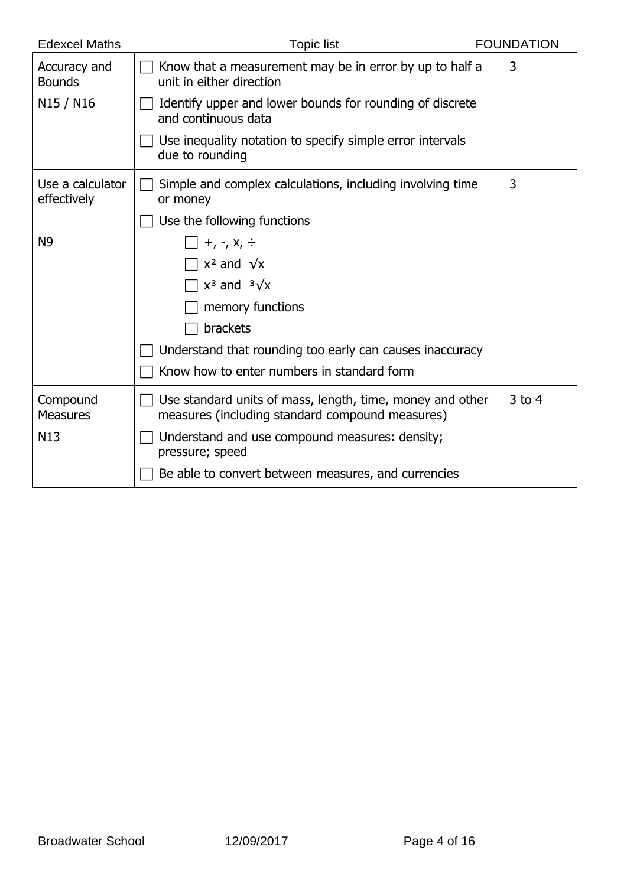| <b>Edexcel Maths</b>            | <b>Topic list</b>                                                                                            | <b>FOUNDATION</b> |
|---------------------------------|--------------------------------------------------------------------------------------------------------------|-------------------|
| Accuracy and<br><b>Bounds</b>   | Know that a measurement may be in error by up to half a<br>unit in either direction                          | 3                 |
| N15 / N16                       | Identify upper and lower bounds for rounding of discrete<br>and continuous data                              |                   |
|                                 | Use inequality notation to specify simple error intervals<br>due to rounding                                 |                   |
| Use a calculator<br>effectively | Simple and complex calculations, including involving time<br>or money                                        | 3                 |
|                                 | Use the following functions                                                                                  |                   |
| N <sub>9</sub>                  | $+$ , -, $x$ , $\div$                                                                                        |                   |
|                                 | $x^2$ and $\sqrt{x}$                                                                                         |                   |
|                                 | $x^3$ and $\sqrt[3]{x}$                                                                                      |                   |
|                                 | memory functions                                                                                             |                   |
|                                 | brackets                                                                                                     |                   |
|                                 | Understand that rounding too early can causes inaccuracy                                                     |                   |
|                                 | Know how to enter numbers in standard form                                                                   |                   |
| Compound<br><b>Measures</b>     | Use standard units of mass, length, time, money and other<br>measures (including standard compound measures) | $3$ to 4          |
| N <sub>13</sub>                 | Understand and use compound measures: density;<br>pressure; speed                                            |                   |
|                                 | Be able to convert between measures, and currencies                                                          |                   |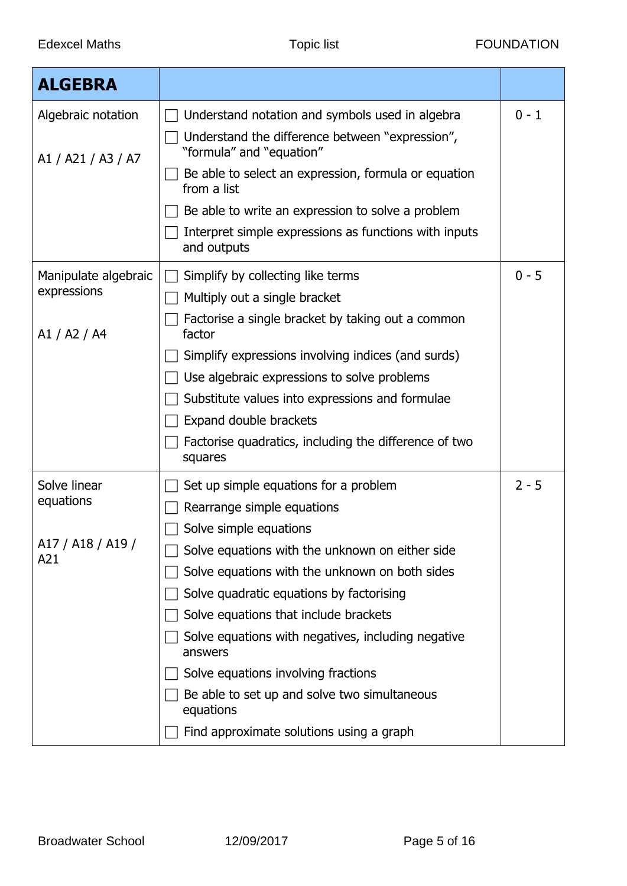| <b>ALGEBRA</b>           |                                                                             |         |
|--------------------------|-----------------------------------------------------------------------------|---------|
| Algebraic notation       | Understand notation and symbols used in algebra                             | $0 - 1$ |
| A1 / A21 / A3 / A7       | Understand the difference between "expression",<br>"formula" and "equation" |         |
|                          | Be able to select an expression, formula or equation<br>from a list         |         |
|                          | Be able to write an expression to solve a problem                           |         |
|                          | Interpret simple expressions as functions with inputs<br>and outputs        |         |
| Manipulate algebraic     | Simplify by collecting like terms                                           | $0 - 5$ |
| expressions              | Multiply out a single bracket                                               |         |
| A1 / A2 / A4             | Factorise a single bracket by taking out a common<br>factor                 |         |
|                          | Simplify expressions involving indices (and surds)                          |         |
|                          | Use algebraic expressions to solve problems                                 |         |
|                          | Substitute values into expressions and formulae                             |         |
|                          | Expand double brackets                                                      |         |
|                          | Factorise quadratics, including the difference of two<br>squares            |         |
| Solve linear             | Set up simple equations for a problem                                       | $2 - 5$ |
| equations                | Rearrange simple equations                                                  |         |
|                          | Solve simple equations                                                      |         |
| A17 / A18 / A19 /<br>A21 | Solve equations with the unknown on either side                             |         |
|                          | Solve equations with the unknown on both sides                              |         |
|                          | Solve quadratic equations by factorising                                    |         |
|                          | Solve equations that include brackets                                       |         |
|                          | Solve equations with negatives, including negative<br>answers               |         |
|                          | Solve equations involving fractions                                         |         |
|                          | Be able to set up and solve two simultaneous<br>equations                   |         |
|                          | Find approximate solutions using a graph                                    |         |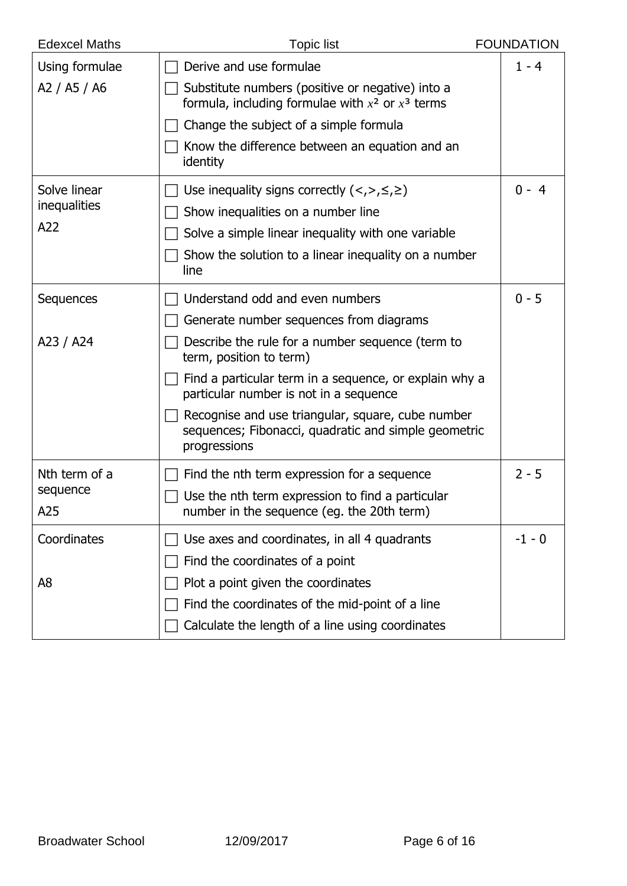| <b>Edexcel Maths</b> | <b>Topic list</b>                                                                                                         | <b>FOUNDATION</b> |
|----------------------|---------------------------------------------------------------------------------------------------------------------------|-------------------|
| Using formulae       | Derive and use formulae                                                                                                   | $1 - 4$           |
| A2 / A5 / A6         | Substitute numbers (positive or negative) into a<br>formula, including formulae with $x^2$ or $x^3$ terms                 |                   |
|                      | Change the subject of a simple formula                                                                                    |                   |
|                      | Know the difference between an equation and an<br>identity                                                                |                   |
| Solve linear         | Use inequality signs correctly $(<,>,\leq, \geq)$                                                                         | $0 - 4$           |
| <i>inequalities</i>  | Show inequalities on a number line                                                                                        |                   |
| A22                  | Solve a simple linear inequality with one variable                                                                        |                   |
|                      | Show the solution to a linear inequality on a number<br>line                                                              |                   |
| Sequences            | Understand odd and even numbers                                                                                           | $0 - 5$           |
|                      | Generate number sequences from diagrams                                                                                   |                   |
| A23 / A24            | Describe the rule for a number sequence (term to<br>term, position to term)                                               |                   |
|                      | Find a particular term in a sequence, or explain why a<br>particular number is not in a sequence                          |                   |
|                      | Recognise and use triangular, square, cube number<br>sequences; Fibonacci, quadratic and simple geometric<br>progressions |                   |
| Nth term of a        | Find the nth term expression for a sequence                                                                               | $2 - 5$           |
| sequence             | Use the nth term expression to find a particular                                                                          |                   |
| A25                  | number in the sequence (eg. the 20th term)                                                                                |                   |
| Coordinates          | Use axes and coordinates, in all 4 quadrants                                                                              | $-1 - 0$          |
|                      | Find the coordinates of a point                                                                                           |                   |
| A8                   | Plot a point given the coordinates                                                                                        |                   |
|                      | Find the coordinates of the mid-point of a line                                                                           |                   |
|                      | Calculate the length of a line using coordinates                                                                          |                   |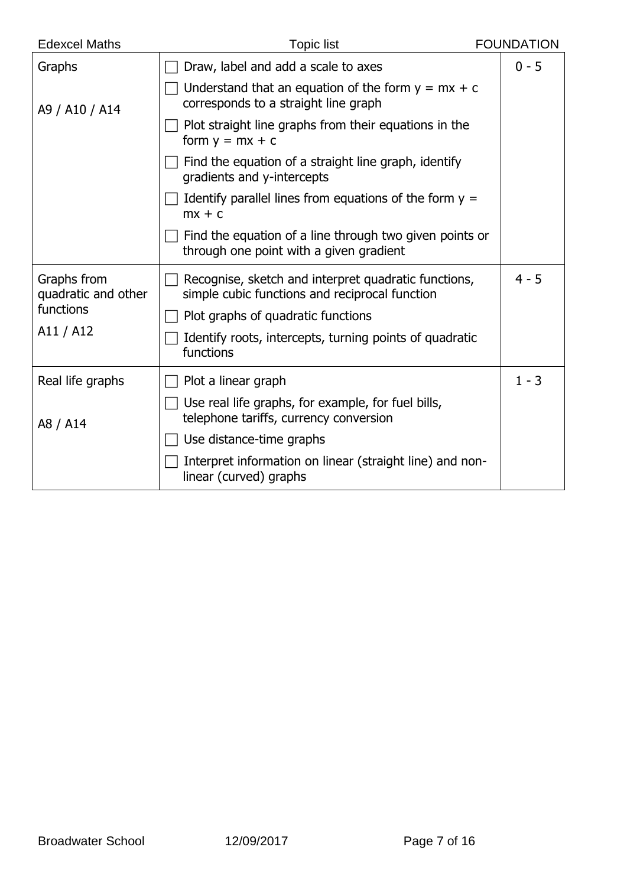| <b>Edexcel Maths</b>               | <b>Topic list</b>                                                                                      | <b>FOUNDATION</b> |
|------------------------------------|--------------------------------------------------------------------------------------------------------|-------------------|
| Graphs                             | Draw, label and add a scale to axes                                                                    | $0 - 5$           |
| A9 / A10 / A14                     | Understand that an equation of the form $y = mx + c$<br>corresponds to a straight line graph           |                   |
|                                    | Plot straight line graphs from their equations in the<br>form $y = mx + c$                             |                   |
|                                    | Find the equation of a straight line graph, identify<br>gradients and y-intercepts                     |                   |
|                                    | Identify parallel lines from equations of the form $y =$<br>$mx + c$                                   |                   |
|                                    | Find the equation of a line through two given points or<br>through one point with a given gradient     |                   |
| Graphs from<br>quadratic and other | Recognise, sketch and interpret quadratic functions,<br>simple cubic functions and reciprocal function | $4 - 5$           |
| functions                          | Plot graphs of quadratic functions                                                                     |                   |
| A11 / A12                          | Identify roots, intercepts, turning points of quadratic<br>functions                                   |                   |
| Real life graphs                   | Plot a linear graph                                                                                    | $1 - 3$           |
| A8 / A14                           | Use real life graphs, for example, for fuel bills,<br>telephone tariffs, currency conversion           |                   |
|                                    | Use distance-time graphs                                                                               |                   |
|                                    | Interpret information on linear (straight line) and non-<br>linear (curved) graphs                     |                   |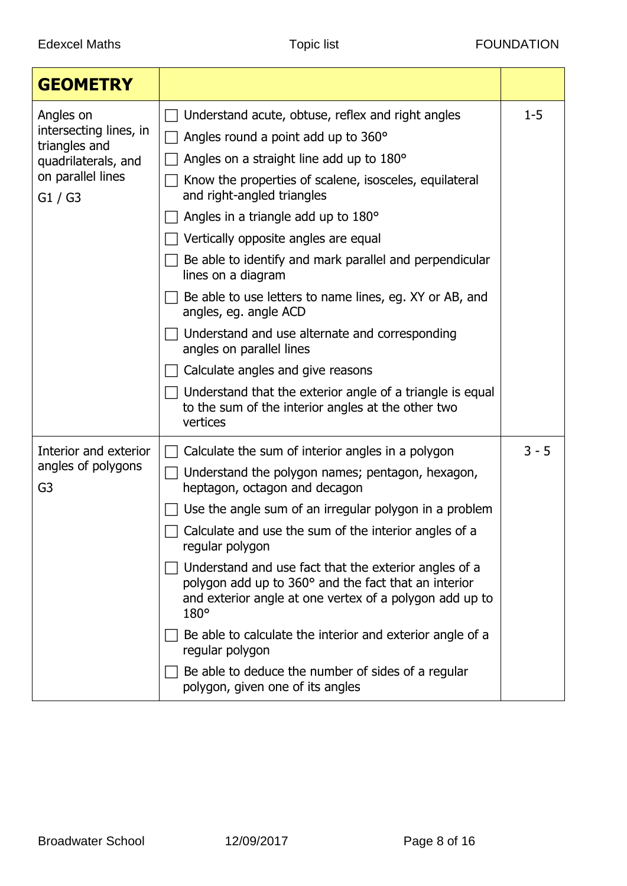| <b>GEOMETRY</b>                                                                                             |                                                                                                                                                                                                                                                                                                                                                                                                                                                                                                                                                                                                                                                                                                                                    |         |
|-------------------------------------------------------------------------------------------------------------|------------------------------------------------------------------------------------------------------------------------------------------------------------------------------------------------------------------------------------------------------------------------------------------------------------------------------------------------------------------------------------------------------------------------------------------------------------------------------------------------------------------------------------------------------------------------------------------------------------------------------------------------------------------------------------------------------------------------------------|---------|
| Angles on<br>intersecting lines, in<br>triangles and<br>quadrilaterals, and<br>on parallel lines<br>G1 / G3 | Understand acute, obtuse, reflex and right angles<br>Angles round a point add up to 360°<br>Angles on a straight line add up to 180°<br>Know the properties of scalene, isosceles, equilateral<br>and right-angled triangles<br>Angles in a triangle add up to 180°<br>Vertically opposite angles are equal<br>Be able to identify and mark parallel and perpendicular<br>lines on a diagram<br>Be able to use letters to name lines, eq. XY or AB, and<br>angles, eg. angle ACD<br>Understand and use alternate and corresponding<br>angles on parallel lines<br>Calculate angles and give reasons<br>Understand that the exterior angle of a triangle is equal<br>to the sum of the interior angles at the other two<br>vertices | $1 - 5$ |
| Interior and exterior<br>angles of polygons<br>G <sub>3</sub>                                               | Calculate the sum of interior angles in a polygon<br>Understand the polygon names; pentagon, hexagon,<br>heptagon, octagon and decagon<br>Use the angle sum of an irregular polygon in a problem<br>Calculate and use the sum of the interior angles of a<br>regular polygon<br>Understand and use fact that the exterior angles of a<br>polygon add up to 360° and the fact that an interior<br>and exterior angle at one vertex of a polygon add up to<br>$180^\circ$<br>Be able to calculate the interior and exterior angle of a<br>regular polygon<br>Be able to deduce the number of sides of a regular<br>polygon, given one of its angles                                                                                  | $3 - 5$ |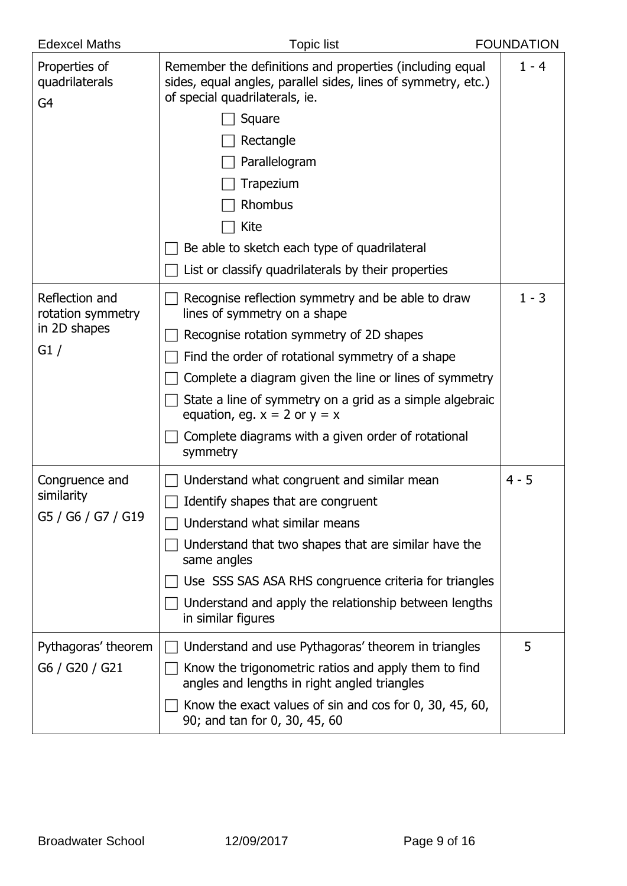| <b>Edexcel Maths</b>                              | <b>Topic list</b>                                                                                                                                           | <b>FOUNDATION</b> |
|---------------------------------------------------|-------------------------------------------------------------------------------------------------------------------------------------------------------------|-------------------|
| Properties of<br>quadrilaterals<br>G <sub>4</sub> | Remember the definitions and properties (including equal<br>sides, equal angles, parallel sides, lines of symmetry, etc.)<br>of special quadrilaterals, ie. | $1 - 4$           |
|                                                   | Square                                                                                                                                                      |                   |
|                                                   | Rectangle                                                                                                                                                   |                   |
|                                                   | Parallelogram                                                                                                                                               |                   |
|                                                   | Trapezium                                                                                                                                                   |                   |
|                                                   | Rhombus                                                                                                                                                     |                   |
|                                                   | Kite                                                                                                                                                        |                   |
|                                                   | Be able to sketch each type of quadrilateral                                                                                                                |                   |
|                                                   | List or classify quadrilaterals by their properties                                                                                                         |                   |
| Reflection and<br>rotation symmetry               | Recognise reflection symmetry and be able to draw<br>lines of symmetry on a shape                                                                           | $1 - 3$           |
| in 2D shapes                                      | Recognise rotation symmetry of 2D shapes                                                                                                                    |                   |
| G1/                                               | Find the order of rotational symmetry of a shape                                                                                                            |                   |
|                                                   | Complete a diagram given the line or lines of symmetry                                                                                                      |                   |
|                                                   | State a line of symmetry on a grid as a simple algebraic<br>equation, eg. $x = 2$ or $y = x$                                                                |                   |
|                                                   | Complete diagrams with a given order of rotational<br>symmetry                                                                                              |                   |
| Congruence and                                    | Understand what congruent and similar mean                                                                                                                  | $4 - 5$           |
| similarity                                        | Identify shapes that are congruent                                                                                                                          |                   |
| G5 / G6 / G7 / G19                                | Understand what similar means                                                                                                                               |                   |
|                                                   | Understand that two shapes that are similar have the<br>same angles                                                                                         |                   |
|                                                   | Use SSS SAS ASA RHS congruence criteria for triangles                                                                                                       |                   |
|                                                   | Understand and apply the relationship between lengths<br>in similar figures                                                                                 |                   |
| Pythagoras' theorem                               | Understand and use Pythagoras' theorem in triangles                                                                                                         | 5                 |
| G6 / G20 / G21                                    | Know the trigonometric ratios and apply them to find<br>angles and lengths in right angled triangles                                                        |                   |
|                                                   | Know the exact values of sin and cos for $0, 30, 45, 60, 60$<br>90; and tan for 0, 30, 45, 60                                                               |                   |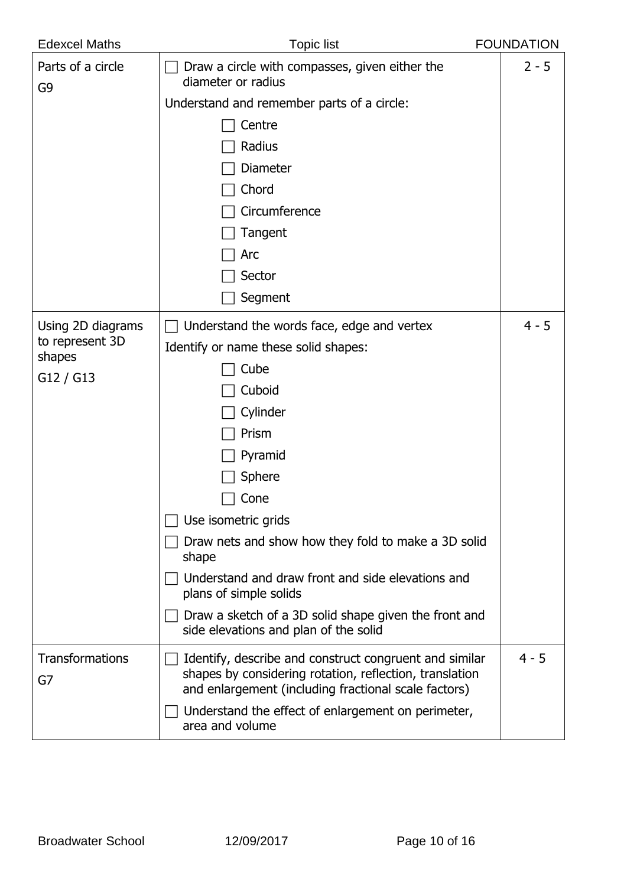| <b>Edexcel Maths</b>                | <b>Topic list</b>                                                                                                                                                         | <b>FOUNDATION</b> |
|-------------------------------------|---------------------------------------------------------------------------------------------------------------------------------------------------------------------------|-------------------|
| Parts of a circle<br>G <sub>9</sub> | Draw a circle with compasses, given either the<br>diameter or radius                                                                                                      | $2 - 5$           |
|                                     | Understand and remember parts of a circle:                                                                                                                                |                   |
|                                     | Centre                                                                                                                                                                    |                   |
|                                     | Radius                                                                                                                                                                    |                   |
|                                     | <b>Diameter</b>                                                                                                                                                           |                   |
|                                     | Chord                                                                                                                                                                     |                   |
|                                     | Circumference                                                                                                                                                             |                   |
|                                     | Tangent                                                                                                                                                                   |                   |
|                                     | Arc                                                                                                                                                                       |                   |
|                                     | Sector                                                                                                                                                                    |                   |
|                                     | Segment                                                                                                                                                                   |                   |
| Using 2D diagrams                   | Understand the words face, edge and vertex                                                                                                                                | $4 - 5$           |
| to represent 3D                     | Identify or name these solid shapes:                                                                                                                                      |                   |
| shapes                              | Cube                                                                                                                                                                      |                   |
| G12 / G13                           | Cuboid                                                                                                                                                                    |                   |
|                                     | Cylinder                                                                                                                                                                  |                   |
|                                     | Prism                                                                                                                                                                     |                   |
|                                     | Pyramid                                                                                                                                                                   |                   |
|                                     | Sphere                                                                                                                                                                    |                   |
|                                     | Cone                                                                                                                                                                      |                   |
|                                     | Use isometric grids                                                                                                                                                       |                   |
|                                     | Draw nets and show how they fold to make a 3D solid<br>shape                                                                                                              |                   |
|                                     | Understand and draw front and side elevations and<br>plans of simple solids                                                                                               |                   |
|                                     | Draw a sketch of a 3D solid shape given the front and<br>side elevations and plan of the solid                                                                            |                   |
| <b>Transformations</b><br>G7        | Identify, describe and construct congruent and similar<br>shapes by considering rotation, reflection, translation<br>and enlargement (including fractional scale factors) | $4 - 5$           |
|                                     | Understand the effect of enlargement on perimeter,<br>area and volume                                                                                                     |                   |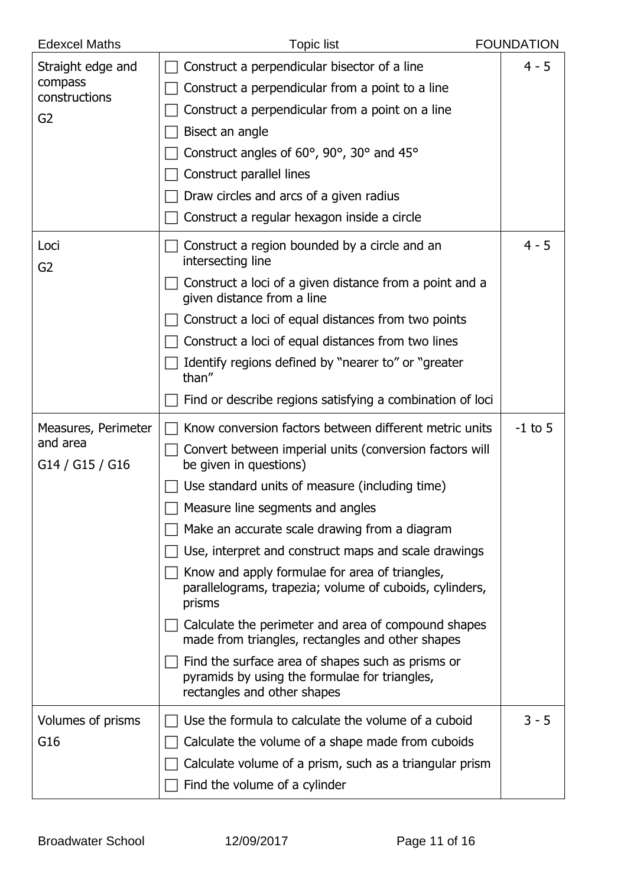| <b>Edexcel Maths</b>        | <b>Topic list</b>                                                                                                                 | <b>FOUNDATION</b> |
|-----------------------------|-----------------------------------------------------------------------------------------------------------------------------------|-------------------|
| Straight edge and           | Construct a perpendicular bisector of a line                                                                                      | $4 - 5$           |
| compass<br>constructions    | Construct a perpendicular from a point to a line                                                                                  |                   |
| G <sub>2</sub>              | Construct a perpendicular from a point on a line                                                                                  |                   |
|                             | Bisect an angle                                                                                                                   |                   |
|                             | Construct angles of 60°, 90°, 30° and 45°                                                                                         |                   |
|                             | Construct parallel lines                                                                                                          |                   |
|                             | Draw circles and arcs of a given radius                                                                                           |                   |
|                             | Construct a regular hexagon inside a circle                                                                                       |                   |
| Loci<br>G <sub>2</sub>      | Construct a region bounded by a circle and an<br>intersecting line                                                                | $4 - 5$           |
|                             | Construct a loci of a given distance from a point and a<br>given distance from a line                                             |                   |
|                             | Construct a loci of equal distances from two points                                                                               |                   |
|                             | Construct a loci of equal distances from two lines                                                                                |                   |
|                             | Identify regions defined by "nearer to" or "greater<br>than"                                                                      |                   |
|                             | Find or describe regions satisfying a combination of loci                                                                         |                   |
| Measures, Perimeter         | Know conversion factors between different metric units                                                                            | $-1$ to 5         |
| and area<br>G14 / G15 / G16 | Convert between imperial units (conversion factors will<br>be given in questions)                                                 |                   |
|                             | Use standard units of measure (including time)                                                                                    |                   |
|                             | $\Box$ Measure line segments and angles                                                                                           |                   |
|                             | Make an accurate scale drawing from a diagram                                                                                     |                   |
|                             | Use, interpret and construct maps and scale drawings                                                                              |                   |
|                             | Know and apply formulae for area of triangles,<br>parallelograms, trapezia; volume of cuboids, cylinders,<br>prisms               |                   |
|                             | Calculate the perimeter and area of compound shapes<br>made from triangles, rectangles and other shapes                           |                   |
|                             | Find the surface area of shapes such as prisms or<br>pyramids by using the formulae for triangles,<br>rectangles and other shapes |                   |
| Volumes of prisms           | Use the formula to calculate the volume of a cuboid                                                                               | $3 - 5$           |
| G16                         | Calculate the volume of a shape made from cuboids                                                                                 |                   |
|                             | Calculate volume of a prism, such as a triangular prism                                                                           |                   |
|                             | Find the volume of a cylinder                                                                                                     |                   |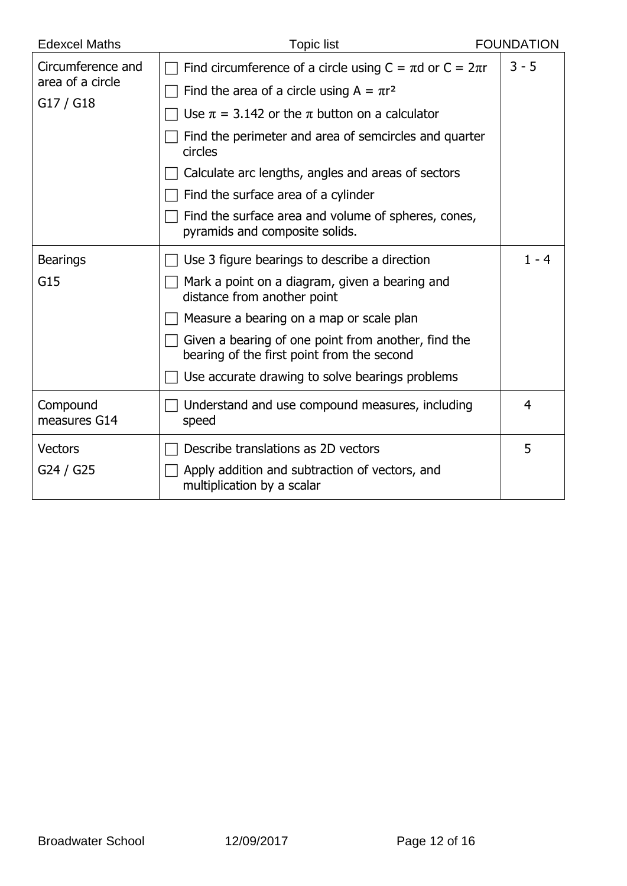| <b>Edexcel Maths</b>     | <b>Topic list</b>                                                                                 | <b>FOUNDATION</b> |
|--------------------------|---------------------------------------------------------------------------------------------------|-------------------|
| Circumference and        | Find circumference of a circle using $C = \pi d$ or $C = 2\pi r$                                  | $3 - 5$           |
| area of a circle         | Find the area of a circle using $A = \pi r^2$                                                     |                   |
| G17 / G18                | Use $\pi = 3.142$ or the $\pi$ button on a calculator                                             |                   |
|                          | Find the perimeter and area of semcircles and quarter<br>circles                                  |                   |
|                          | Calculate arc lengths, angles and areas of sectors                                                |                   |
|                          | Find the surface area of a cylinder                                                               |                   |
|                          | Find the surface area and volume of spheres, cones,<br>pyramids and composite solids.             |                   |
| <b>Bearings</b>          | Use 3 figure bearings to describe a direction                                                     | $1 - 4$           |
| G15                      | Mark a point on a diagram, given a bearing and<br>distance from another point                     |                   |
|                          | Measure a bearing on a map or scale plan                                                          |                   |
|                          | Given a bearing of one point from another, find the<br>bearing of the first point from the second |                   |
|                          | Use accurate drawing to solve bearings problems                                                   |                   |
| Compound<br>measures G14 | Understand and use compound measures, including<br>speed                                          | 4                 |
| <b>Vectors</b>           | Describe translations as 2D vectors                                                               | 5                 |
| G24 / G25                | Apply addition and subtraction of vectors, and<br>multiplication by a scalar                      |                   |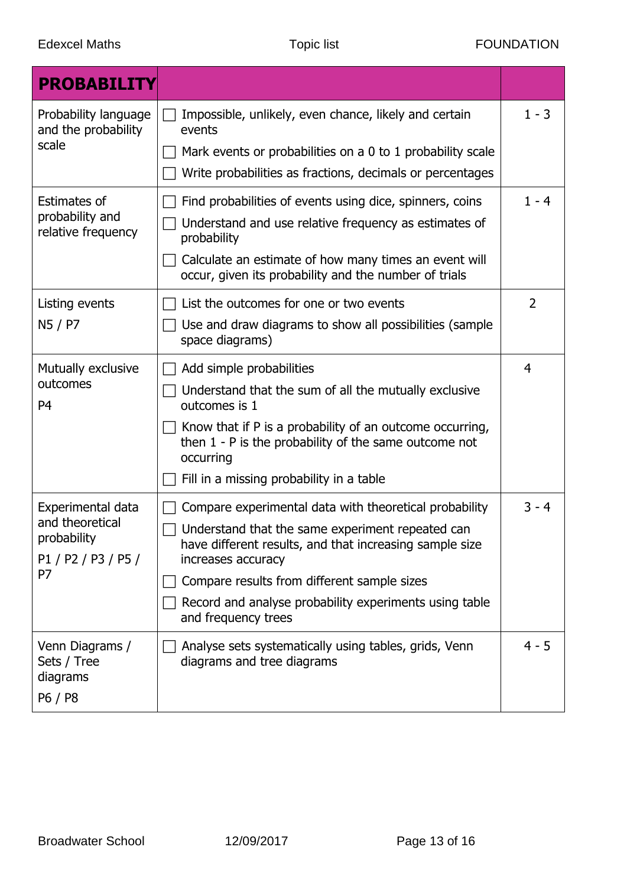| <b>PROBABILITY</b>                                                               |                                                                                                                                                                                                                                                                                                                             |                |
|----------------------------------------------------------------------------------|-----------------------------------------------------------------------------------------------------------------------------------------------------------------------------------------------------------------------------------------------------------------------------------------------------------------------------|----------------|
| Probability language<br>and the probability<br>scale                             | Impossible, unlikely, even chance, likely and certain<br>events<br>Mark events or probabilities on a 0 to 1 probability scale<br>Write probabilities as fractions, decimals or percentages                                                                                                                                  | $1 - 3$        |
| <b>Estimates of</b><br>probability and<br>relative frequency                     | Find probabilities of events using dice, spinners, coins<br>Understand and use relative frequency as estimates of<br>probability<br>Calculate an estimate of how many times an event will<br>occur, given its probability and the number of trials                                                                          | $1 - 4$        |
| Listing events<br>N5 / P7                                                        | List the outcomes for one or two events<br>Use and draw diagrams to show all possibilities (sample<br>space diagrams)                                                                                                                                                                                                       | 2              |
| Mutually exclusive<br>outcomes<br>P <sub>4</sub>                                 | Add simple probabilities<br>Understand that the sum of all the mutually exclusive<br>outcomes is 1<br>Know that if P is a probability of an outcome occurring,<br>then $1 - P$ is the probability of the same outcome not<br>occurring<br>Fill in a missing probability in a table                                          | $\overline{4}$ |
| Experimental data<br>and theoretical<br>probability<br>P1 / P2 / P3 / P5 /<br>P7 | Compare experimental data with theoretical probability<br>Understand that the same experiment repeated can<br>have different results, and that increasing sample size<br>increases accuracy<br>Compare results from different sample sizes<br>Record and analyse probability experiments using table<br>and frequency trees | $3 - 4$        |
| Venn Diagrams /<br>Sets / Tree<br>diagrams<br>P6 / P8                            | Analyse sets systematically using tables, grids, Venn<br>diagrams and tree diagrams                                                                                                                                                                                                                                         | $4 - 5$        |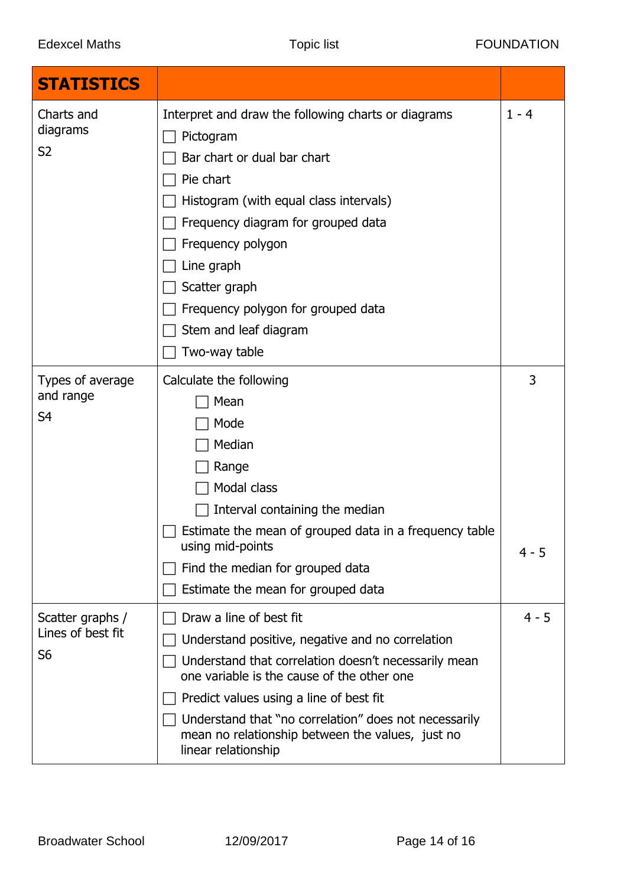| <b>STATISTICS</b>                                       |                                                                                                                                                                                                                                                                                                                                                                  |              |
|---------------------------------------------------------|------------------------------------------------------------------------------------------------------------------------------------------------------------------------------------------------------------------------------------------------------------------------------------------------------------------------------------------------------------------|--------------|
| Charts and<br>diagrams<br>S <sub>2</sub>                | Interpret and draw the following charts or diagrams<br>Pictogram<br>Bar chart or dual bar chart<br>Pie chart<br>Histogram (with equal class intervals)<br>Frequency diagram for grouped data<br>Frequency polygon<br>Line graph<br>Scatter graph<br>Frequency polygon for grouped data<br>Stem and leaf diagram<br>Two-way table                                 | $1 - 4$      |
| Types of average<br>and range<br>S <sub>4</sub>         | Calculate the following<br>Mean<br>Mode<br>Median<br>Range<br>Modal class<br>Interval containing the median<br>Estimate the mean of grouped data in a frequency table<br>using mid-points<br>Find the median for grouped data<br>Estimate the mean for grouped data                                                                                              | 3<br>$4 - 5$ |
| Scatter graphs /<br>Lines of best fit<br>S <sub>6</sub> | Draw a line of best fit<br>Understand positive, negative and no correlation<br>Understand that correlation doesn't necessarily mean<br>one variable is the cause of the other one<br>Predict values using a line of best fit<br>Understand that "no correlation" does not necessarily<br>mean no relationship between the values, just no<br>linear relationship | $4 - 5$      |